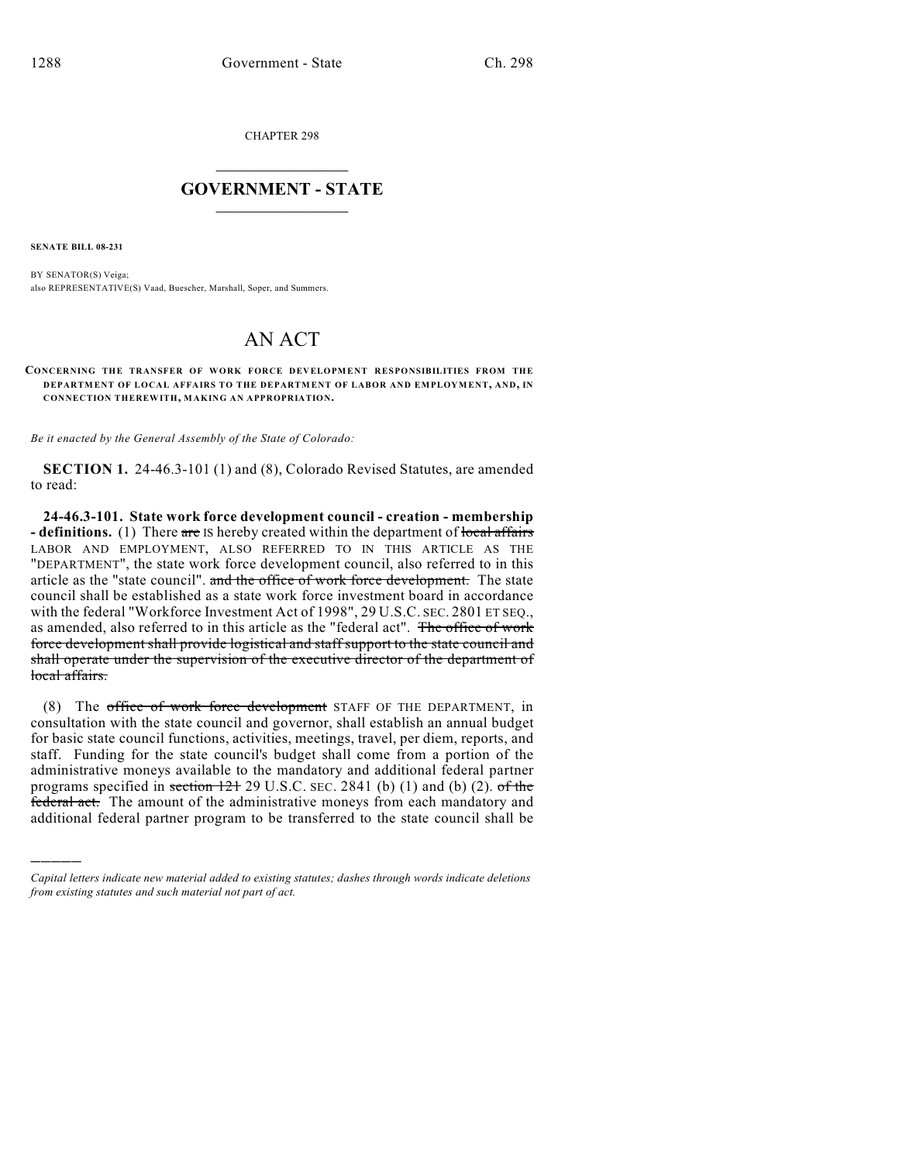CHAPTER 298

## $\mathcal{L}_\text{max}$  . The set of the set of the set of the set of the set of the set of the set of the set of the set of the set of the set of the set of the set of the set of the set of the set of the set of the set of the set **GOVERNMENT - STATE**  $\_$   $\_$   $\_$   $\_$   $\_$   $\_$   $\_$   $\_$   $\_$

**SENATE BILL 08-231**

)))))

BY SENATOR(S) Veiga; also REPRESENTATIVE(S) Vaad, Buescher, Marshall, Soper, and Summers.

## AN ACT

## **CONCERNING THE TRANSFER OF WORK FORCE DEVELOPMENT RESPONSIBILITIES FROM THE DEPARTMENT OF LOCAL AFFAIRS TO THE DEPARTMENT OF LABOR AND EMPLOYMENT, AND, IN CONNECTION THEREWITH, MAKING AN APPROPRIATION.**

*Be it enacted by the General Assembly of the State of Colorado:*

**SECTION 1.** 24-46.3-101 (1) and (8), Colorado Revised Statutes, are amended to read:

**24-46.3-101. State work force development council - creation - membership - definitions.** (1) There are IS hereby created within the department of local affairs LABOR AND EMPLOYMENT, ALSO REFERRED TO IN THIS ARTICLE AS THE "DEPARTMENT", the state work force development council, also referred to in this article as the "state council". and the office of work force development. The state council shall be established as a state work force investment board in accordance with the federal "Workforce Investment Act of 1998", 29 U.S.C. SEC. 2801 ET SEQ., as amended, also referred to in this article as the "federal act". The office of work force development shall provide logistical and staff support to the state council and shall operate under the supervision of the executive director of the department of local affairs.

(8) The office of work force development STAFF OF THE DEPARTMENT, in consultation with the state council and governor, shall establish an annual budget for basic state council functions, activities, meetings, travel, per diem, reports, and staff. Funding for the state council's budget shall come from a portion of the administrative moneys available to the mandatory and additional federal partner programs specified in section 121 29 U.S.C. SEC. 2841 (b) (1) and (b) (2). of the federal act. The amount of the administrative moneys from each mandatory and additional federal partner program to be transferred to the state council shall be

*Capital letters indicate new material added to existing statutes; dashes through words indicate deletions from existing statutes and such material not part of act.*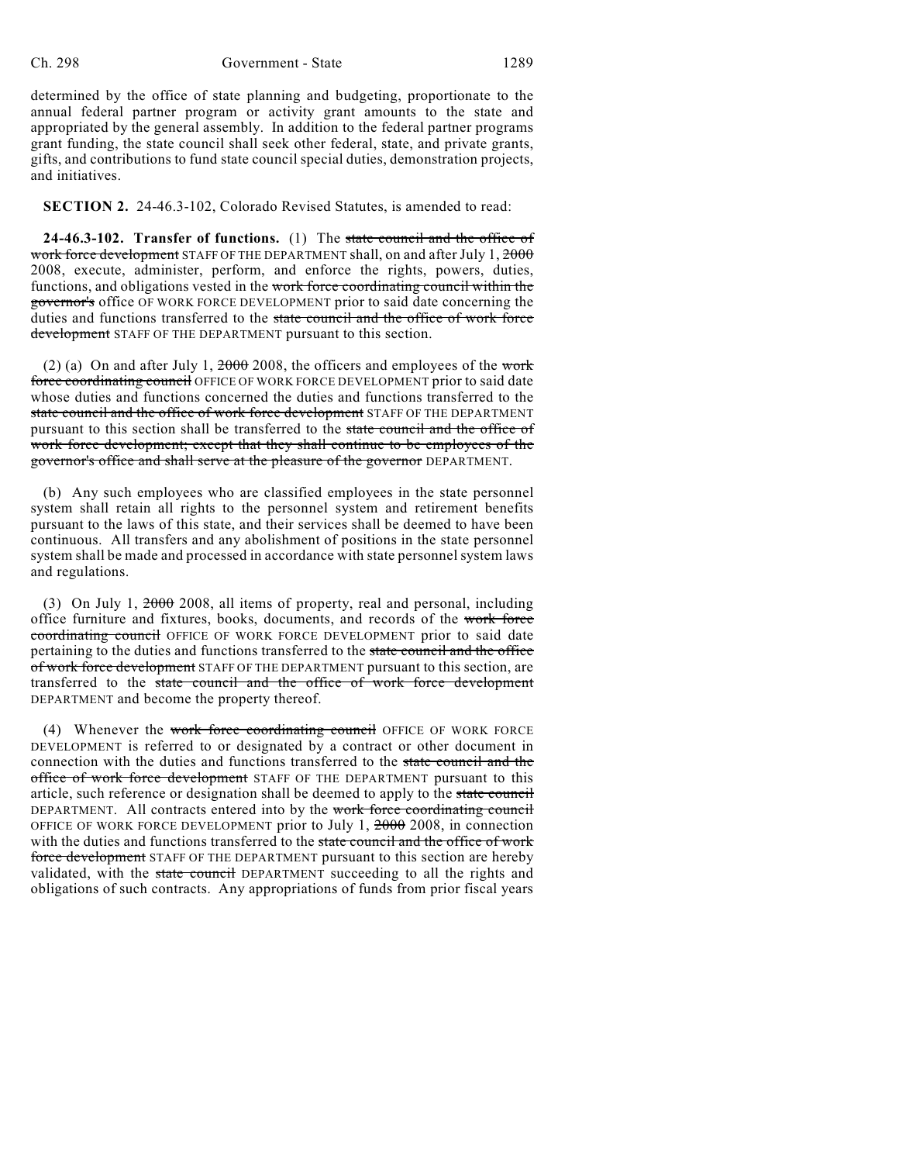determined by the office of state planning and budgeting, proportionate to the annual federal partner program or activity grant amounts to the state and appropriated by the general assembly. In addition to the federal partner programs grant funding, the state council shall seek other federal, state, and private grants, gifts, and contributions to fund state council special duties, demonstration projects, and initiatives.

**SECTION 2.** 24-46.3-102, Colorado Revised Statutes, is amended to read:

**24-46.3-102. Transfer of functions.** (1) The state council and the office of work force development STAFF OF THE DEPARTMENT shall, on and after July 1, 2000 2008, execute, administer, perform, and enforce the rights, powers, duties, functions, and obligations vested in the work force coordinating council within the governor's office OF WORK FORCE DEVELOPMENT prior to said date concerning the duties and functions transferred to the state council and the office of work force development STAFF OF THE DEPARTMENT pursuant to this section.

(2) (a) On and after July 1,  $2000$  2008, the officers and employees of the work force coordinating council OFFICE OF WORK FORCE DEVELOPMENT prior to said date whose duties and functions concerned the duties and functions transferred to the state council and the office of work force development STAFF OF THE DEPARTMENT pursuant to this section shall be transferred to the state council and the office of work force development; except that they shall continue to be employees of the governor's office and shall serve at the pleasure of the governor DEPARTMENT.

(b) Any such employees who are classified employees in the state personnel system shall retain all rights to the personnel system and retirement benefits pursuant to the laws of this state, and their services shall be deemed to have been continuous. All transfers and any abolishment of positions in the state personnel system shall be made and processed in accordance with state personnel system laws and regulations.

(3) On July 1, 2000 2008, all items of property, real and personal, including office furniture and fixtures, books, documents, and records of the work force coordinating council OFFICE OF WORK FORCE DEVELOPMENT prior to said date pertaining to the duties and functions transferred to the state council and the office of work force development STAFF OF THE DEPARTMENT pursuant to this section, are transferred to the state council and the office of work force development DEPARTMENT and become the property thereof.

(4) Whenever the work force coordinating council OFFICE OF WORK FORCE DEVELOPMENT is referred to or designated by a contract or other document in connection with the duties and functions transferred to the state council and the office of work force development STAFF OF THE DEPARTMENT pursuant to this article, such reference or designation shall be deemed to apply to the state council DEPARTMENT. All contracts entered into by the work force coordinating council OFFICE OF WORK FORCE DEVELOPMENT prior to July 1, 2000 2008, in connection with the duties and functions transferred to the state council and the office of work force development STAFF OF THE DEPARTMENT pursuant to this section are hereby validated, with the state council DEPARTMENT succeeding to all the rights and obligations of such contracts. Any appropriations of funds from prior fiscal years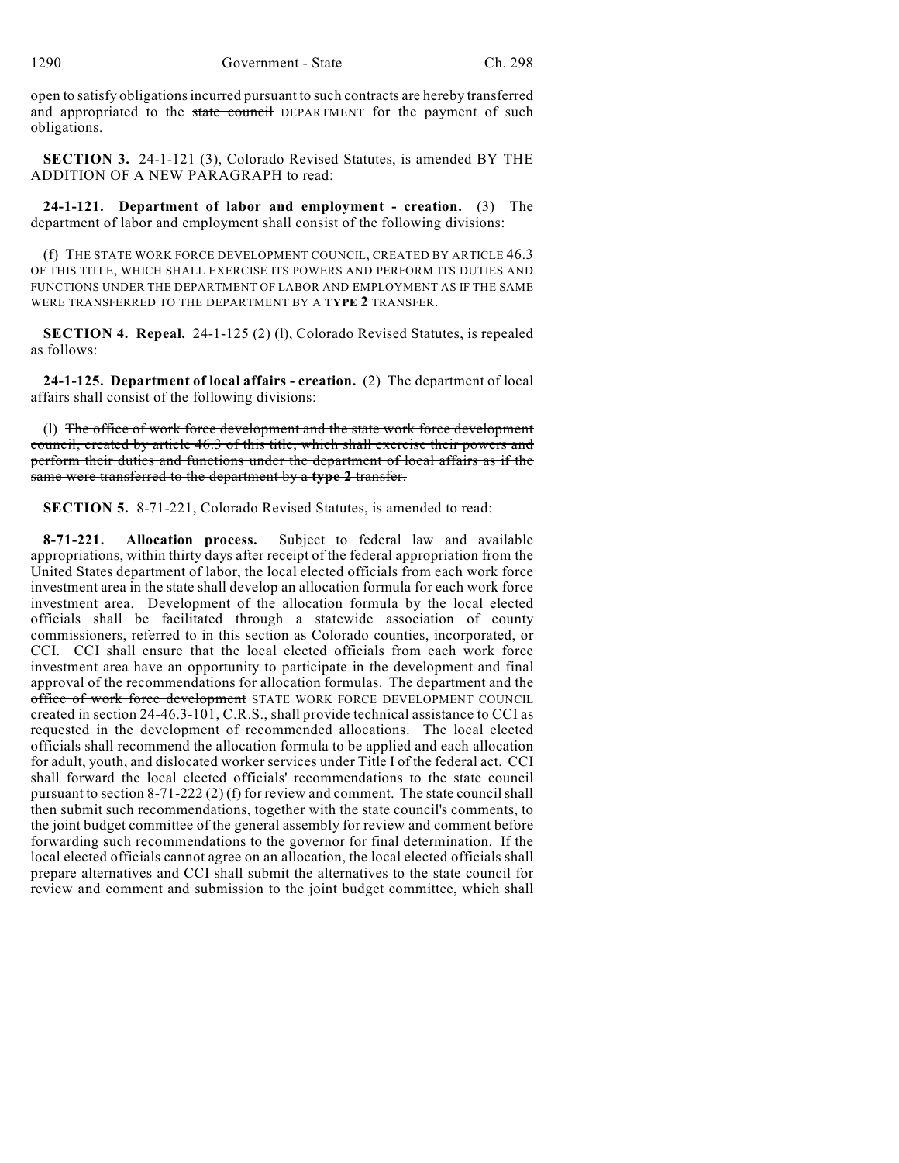open to satisfy obligations incurred pursuant to such contracts are hereby transferred and appropriated to the state council DEPARTMENT for the payment of such obligations.

**SECTION 3.** 24-1-121 (3), Colorado Revised Statutes, is amended BY THE ADDITION OF A NEW PARAGRAPH to read:

**24-1-121. Department of labor and employment - creation.** (3) The department of labor and employment shall consist of the following divisions:

(f) THE STATE WORK FORCE DEVELOPMENT COUNCIL, CREATED BY ARTICLE 46.3 OF THIS TITLE, WHICH SHALL EXERCISE ITS POWERS AND PERFORM ITS DUTIES AND FUNCTIONS UNDER THE DEPARTMENT OF LABOR AND EMPLOYMENT AS IF THE SAME WERE TRANSFERRED TO THE DEPARTMENT BY A **TYPE 2** TRANSFER.

**SECTION 4. Repeal.** 24-1-125 (2) (l), Colorado Revised Statutes, is repealed as follows:

**24-1-125. Department of local affairs - creation.** (2) The department of local affairs shall consist of the following divisions:

(l) The office of work force development and the state work force development council, created by article 46.3 of this title, which shall exercise their powers and perform their duties and functions under the department of local affairs as if the same were transferred to the department by a **type 2** transfer.

**SECTION 5.** 8-71-221, Colorado Revised Statutes, is amended to read:

**8-71-221. Allocation process.** Subject to federal law and available appropriations, within thirty days after receipt of the federal appropriation from the United States department of labor, the local elected officials from each work force investment area in the state shall develop an allocation formula for each work force investment area. Development of the allocation formula by the local elected officials shall be facilitated through a statewide association of county commissioners, referred to in this section as Colorado counties, incorporated, or CCI. CCI shall ensure that the local elected officials from each work force investment area have an opportunity to participate in the development and final approval of the recommendations for allocation formulas. The department and the office of work force development STATE WORK FORCE DEVELOPMENT COUNCIL created in section 24-46.3-101, C.R.S., shall provide technical assistance to CCI as requested in the development of recommended allocations. The local elected officials shall recommend the allocation formula to be applied and each allocation for adult, youth, and dislocated worker services under Title I of the federal act. CCI shall forward the local elected officials' recommendations to the state council pursuant to section 8-71-222 (2) (f) for review and comment. The state council shall then submit such recommendations, together with the state council's comments, to the joint budget committee of the general assembly for review and comment before forwarding such recommendations to the governor for final determination. If the local elected officials cannot agree on an allocation, the local elected officials shall prepare alternatives and CCI shall submit the alternatives to the state council for review and comment and submission to the joint budget committee, which shall